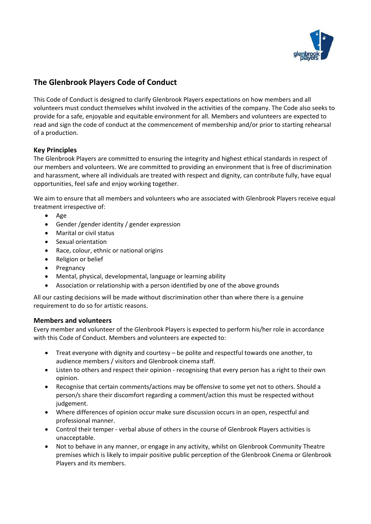

# **The Glenbrook Players Code of Conduct**

This Code of Conduct is designed to clarify Glenbrook Players expectations on how members and all volunteers must conduct themselves whilst involved in the activities of the company. The Code also seeks to provide for a safe, enjoyable and equitable environment for all. Members and volunteers are expected to read and sign the code of conduct at the commencement of membership and/or prior to starting rehearsal of a production.

## **Key Principles**

The Glenbrook Players are committed to ensuring the integrity and highest ethical standards in respect of our members and volunteers. We are committed to providing an environment that is free of discrimination and harassment, where all individuals are treated with respect and dignity, can contribute fully, have equal opportunities, feel safe and enjoy working together.

We aim to ensure that all members and volunteers who are associated with Glenbrook Players receive equal treatment irrespective of:

- Age
- Gender /gender identity / gender expression
- Marital or civil status
- Sexual orientation
- Race, colour, ethnic or national origins
- Religion or belief
- Pregnancy
- Mental, physical, developmental, language or learning ability
- Association or relationship with a person identified by one of the above grounds

All our casting decisions will be made without discrimination other than where there is a genuine requirement to do so for artistic reasons.

#### **Members and volunteers**

Every member and volunteer of the Glenbrook Players is expected to perform his/her role in accordance with this Code of Conduct. Members and volunteers are expected to:

- Treat everyone with dignity and courtesy be polite and respectful towards one another, to audience members / visitors and Glenbrook cinema staff.
- Listen to others and respect their opinion recognising that every person has a right to their own opinion.
- Recognise that certain comments/actions may be offensive to some yet not to others. Should a person/s share their discomfort regarding a comment/action this must be respected without judgement.
- Where differences of opinion occur make sure discussion occurs in an open, respectful and professional manner.
- Control their temper verbal abuse of others in the course of Glenbrook Players activities is unacceptable.
- Not to behave in any manner, or engage in any activity, whilst on Glenbrook Community Theatre premises which is likely to impair positive public perception of the Glenbrook Cinema or Glenbrook Players and its members.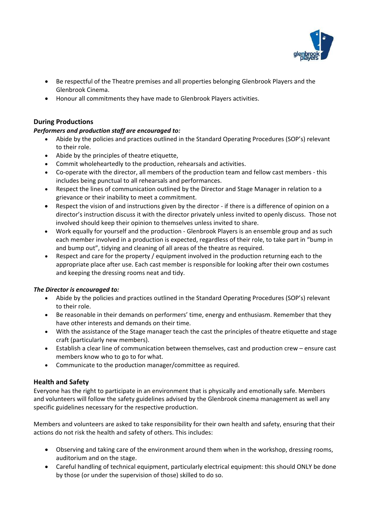

- Be respectful of the Theatre premises and all properties belonging Glenbrook Players and the Glenbrook Cinema.
- Honour all commitments they have made to Glenbrook Players activities.

# **During Productions**

#### *Performers and production staff are encouraged to:*

- Abide by the policies and practices outlined in the Standard Operating Procedures (SOP's) relevant to their role.
- Abide by the principles of theatre etiquette,
- Commit wholeheartedly to the production, rehearsals and activities.
- Co-operate with the director, all members of the production team and fellow cast members this includes being punctual to all rehearsals and performances.
- Respect the lines of communication outlined by the Director and Stage Manager in relation to a grievance or their inability to meet a commitment.
- Respect the vision of and instructions given by the director if there is a difference of opinion on a director's instruction discuss it with the director privately unless invited to openly discuss. Those not involved should keep their opinion to themselves unless invited to share.
- Work equally for yourself and the production Glenbrook Players is an ensemble group and as such each member involved in a production is expected, regardless of their role, to take part in "bump in and bump out", tidying and cleaning of all areas of the theatre as required.
- Respect and care for the property / equipment involved in the production returning each to the appropriate place after use. Each cast member is responsible for looking after their own costumes and keeping the dressing rooms neat and tidy.

#### *The Director is encouraged to:*

- Abide by the policies and practices outlined in the Standard Operating Procedures (SOP's) relevant to their role.
- Be reasonable in their demands on performers' time, energy and enthusiasm. Remember that they have other interests and demands on their time.
- With the assistance of the Stage manager teach the cast the principles of theatre etiquette and stage craft (particularly new members).
- Establish a clear line of communication between themselves, cast and production crew ensure cast members know who to go to for what.
- Communicate to the production manager/committee as required.

#### **Health and Safety**

Everyone has the right to participate in an environment that is physically and emotionally safe. Members and volunteers will follow the safety guidelines advised by the Glenbrook cinema management as well any specific guidelines necessary for the respective production.

Members and volunteers are asked to take responsibility for their own health and safety, ensuring that their actions do not risk the health and safety of others. This includes:

- Observing and taking care of the environment around them when in the workshop, dressing rooms, auditorium and on the stage.
- Careful handling of technical equipment, particularly electrical equipment: this should ONLY be done by those (or under the supervision of those) skilled to do so.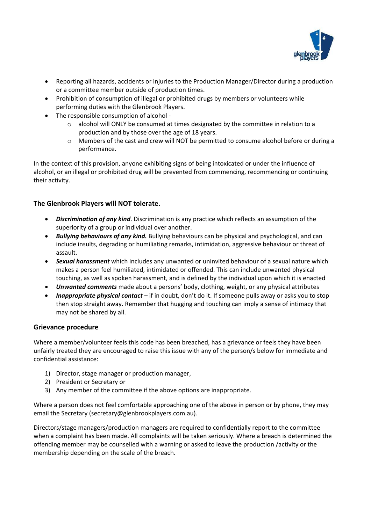

- Reporting all hazards, accidents or injuries to the Production Manager/Director during a production or a committee member outside of production times.
- Prohibition of consumption of illegal or prohibited drugs by members or volunteers while performing duties with the Glenbrook Players.
- The responsible consumption of alcohol
	- $\circ$  alcohol will ONLY be consumed at times designated by the committee in relation to a production and by those over the age of 18 years.
	- o Members of the cast and crew will NOT be permitted to consume alcohol before or during a performance.

In the context of this provision, anyone exhibiting signs of being intoxicated or under the influence of alcohol, or an illegal or prohibited drug will be prevented from commencing, recommencing or continuing their activity.

## **The Glenbrook Players will NOT tolerate.**

- *Discrimination of any kind*. Discrimination is any practice which reflects an assumption of the superiority of a group or individual over another.
- *Bullying behaviours of any kind.* Bullying behaviours can be physical and psychological, and can include insults, degrading or humiliating remarks, intimidation, aggressive behaviour or threat of assault.
- *Sexual harassment* which includes any unwanted or uninvited behaviour of a sexual nature which makes a person feel humiliated, intimidated or offended. This can include unwanted physical touching, as well as spoken harassment, and is defined by the individual upon which it is enacted
- *Unwanted comments* made about a persons' body, clothing, weight, or any physical attributes
- *Inappropriate physical contact* if in doubt, don't do it. If someone pulls away or asks you to stop then stop straight away. Remember that hugging and touching can imply a sense of intimacy that may not be shared by all.

#### **Grievance procedure**

Where a member/volunteer feels this code has been breached, has a grievance or feels they have been unfairly treated they are encouraged to raise this issue with any of the person/s below for immediate and confidential assistance:

- 1) Director, stage manager or production manager,
- 2) President or Secretary or
- 3) Any member of the committee if the above options are inappropriate.

Where a person does not feel comfortable approaching one of the above in person or by phone, they may email the Secretary (secretary@glenbrookplayers.com.au).

Directors/stage managers/production managers are required to confidentially report to the committee when a complaint has been made. All complaints will be taken seriously. Where a breach is determined the offending member may be counselled with a warning or asked to leave the production /activity or the membership depending on the scale of the breach.